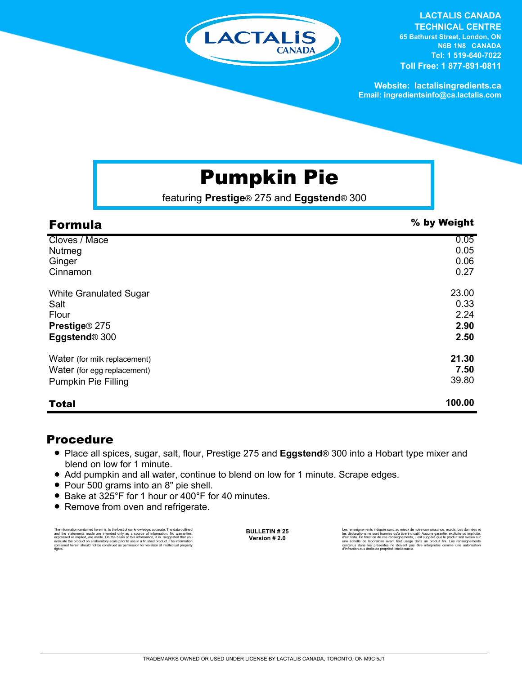

**LACTALIS CANADA TECHNICAL CENTRE**

**65 Bathurst Street, London, ON N6B 1N8 CANADA Tel: 1 519-640-7022 Toll Free: 1 877-891-0811**

**Website: lactalisingredients.ca Email: ingredientsinfo@ca.lactalis.com**

# Pumpkin Pie

featuring **Prestige**® 275 and **Eggstend**® 300

| <b>Formula</b>                | % by Weight |
|-------------------------------|-------------|
| Cloves / Mace                 | 0.05        |
| Nutmeg                        | 0.05        |
| Ginger                        | 0.06        |
| Cinnamon                      | 0.27        |
| <b>White Granulated Sugar</b> | 23.00       |
| Salt                          | 0.33        |
| Flour                         | 2.24        |
| Prestige® 275                 | 2.90        |
| Eggstend <sup>®</sup> 300     | 2.50        |
| Water (for milk replacement)  | 21.30       |
| Water (for egg replacement)   | 7.50        |
| <b>Pumpkin Pie Filling</b>    | 39.80       |
| <b>Total</b>                  | 100.00      |

#### Procedure

- = Place all spices, sugar, salt, flour, Prestige 275 and **Eggstend**® 300 into a Hobart type mixer and blend on low for 1 minute.
- Add pumpkin and all water, continue to blend on low for 1 minute. Scrape edges.
- = Pour 500 grams into an 8" pie shell.
- Bake at 325°F for 1 hour or 400°F for 40 minutes.
- Remove from oven and refrigerate.

The information contained herein is, to the best of our knowledge, accurate. The data cutlined the statements made are intended only as a source of information. No warranties, expressed or implied, are made. On the basis o

**BULLETIN # 25 Version # 2.0**

Les renseignements indiqués sont, au mieux de notre connaissance, exacts. Les do les déclarations ne sont fournies qu'à titre indicatif. Aucune garantie, explicite ou implicite,<br>n'est faite. En fonction de ces renseignements, il est suggéré que le produit soit évalué sur<br>une échelle de laboratoire avan